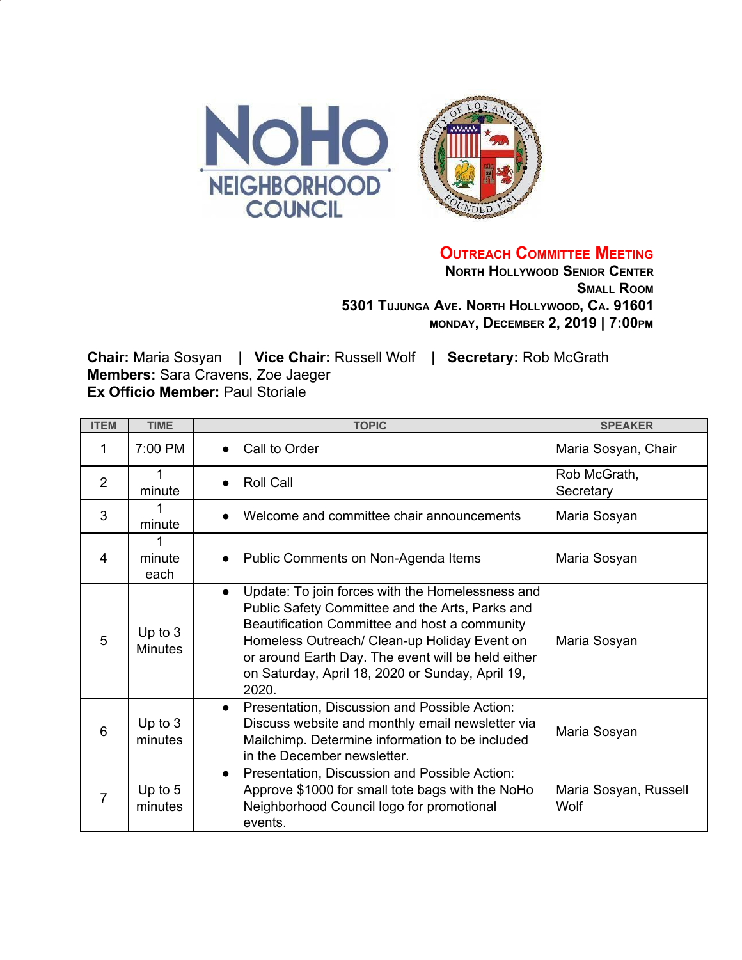

**OUTREACH COMMITTEE MEETING**

**NORTH HOLLYWOOD SENIOR CENTER SMALL ROOM 5301 TUJUNGA AVE. NORTH HOLLYWOOD, CA. 91601 MONDAY, DECEMBER 2, 2019 | 7:00PM**

**Chair:** Maria Sosyan **| Vice Chair:** Russell Wolf **| Secretary:** Rob McGrath **Members:** Sara Cravens, Zoe Jaeger **Ex Officio Member:** Paul Storiale

| <b>ITEM</b>    | <b>TIME</b>                 | <b>TOPIC</b>                                                                                                                                                                                                                                                                                                                         | <b>SPEAKER</b>                |
|----------------|-----------------------------|--------------------------------------------------------------------------------------------------------------------------------------------------------------------------------------------------------------------------------------------------------------------------------------------------------------------------------------|-------------------------------|
| 1              | 7:00 PM                     | Call to Order<br>$\bullet$                                                                                                                                                                                                                                                                                                           | Maria Sosyan, Chair           |
| $\overline{2}$ | 1<br>minute                 | <b>Roll Call</b>                                                                                                                                                                                                                                                                                                                     | Rob McGrath,<br>Secretary     |
| 3              | minute                      | Welcome and committee chair announcements                                                                                                                                                                                                                                                                                            | Maria Sosyan                  |
| 4              | minute<br>each              | Public Comments on Non-Agenda Items<br>$\bullet$                                                                                                                                                                                                                                                                                     | Maria Sosyan                  |
| 5              | Up to $3$<br><b>Minutes</b> | Update: To join forces with the Homelessness and<br>$\bullet$<br>Public Safety Committee and the Arts, Parks and<br>Beautification Committee and host a community<br>Homeless Outreach/ Clean-up Holiday Event on<br>or around Earth Day. The event will be held either<br>on Saturday, April 18, 2020 or Sunday, April 19,<br>2020. | Maria Sosyan                  |
| 6              | Up to $3$<br>minutes        | Presentation, Discussion and Possible Action:<br>$\bullet$<br>Discuss website and monthly email newsletter via<br>Mailchimp. Determine information to be included<br>in the December newsletter.                                                                                                                                     | Maria Sosyan                  |
| 7              | Up to $5$<br>minutes        | Presentation, Discussion and Possible Action:<br>$\bullet$<br>Approve \$1000 for small tote bags with the NoHo<br>Neighborhood Council logo for promotional<br>events.                                                                                                                                                               | Maria Sosyan, Russell<br>Wolf |